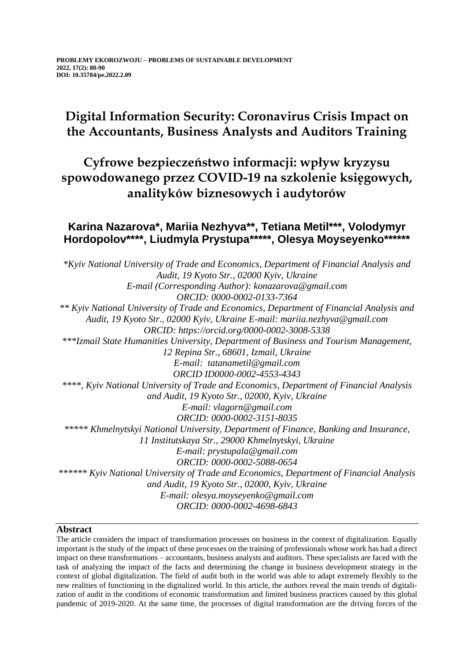# **Digital Information Security: Coronavirus Crisis Impact on the Accountants, Business Analysts and Auditors Training**

## **Cyfrowe bezpieczeństwo informacji: wpływ kryzysu spowodowanego przez COVID-19 na szkolenie księgowych, analityków biznesowych i audytorów**

### **Karina Nazarova\*, Mariia Nezhyva\*\*, Tetіana Metil\*\*\*, Volodymyr Hordopolov\*\*\*\*, Liudmyla Prystupa\*\*\*\*\*, Olesya Moyseyenko\*\*\*\*\*\***

*\*Kyiv National University of Trade and Economics, Department of Financial Analysis and Audit, 19 Kyoto Str., 02000 Kyiv, Ukraine E-mail (Corresponding Author): konazarova@gmail.com ORCID: 0000-0002-0133-7364 \*\* Kyiv National University of Trade and Economics, Department of Financial Analysis and Audit, 19 Kyoto Str., 02000 Kyiv, Ukraine E-mail: mariia.nezhyva@gmail.com ORCID: https://orcid.org/0000-0002-3008-5338 \*\*\*Izmail State Humanities University, Department of Business and Tourism Management, 12 Repina Str., 68601, Izmail, Ukraine E-mail: tatanametil@gmail.com ORCID ID0000-0002-4553-4343 \*\*\*\*, Kyiv National University of Trade and Economics, Department of Financial Analysis and Audit, 19 Kyoto Str., 02000, Kyiv, Ukraine E-mail: vlagorn@gmail.com ORCID: 0000-0002-3151-8035 \*\*\*\*\* Khmelnytskyi National University, Department of Finance, Banking and Insurance, 11 Institutskaya Str., 29000 Khmelnytskyi, Ukraine E-mail: prystupala@gmail.com ORCID: 0000-0002-5088-0654 \*\*\*\*\*\* Kyiv National University of Trade and Economics, Department of Financial Analysis and Audit, 19 Kyoto Str., 02000, Kyiv, Ukraine E-mail: olesya.moyseyenko@gmail.com [ORCID: 0000-0002-4698-6843](https://orcid.org/0000-0002-4698-6843)*

### **Abstract**

The article considers the impact of transformation processes on business in the context of digitalization. Equally important is the study of the impact of these processes on the training of professionals whose work has had a direct impact on these transformations – accountants, business analysts and auditors. These specialists are faced with the task of analyzing the impact of the facts and determining the change in business development strategy in the context of global digitalization. The field of audit both in the world was able to adapt extremely flexibly to the new realities of functioning in the digitalized world. In this article, the authors reveal the main trends of digitalization of audit in the conditions of economic transformation and limited business practices caused by this global pandemic of 2019-2020. At the same time, the processes of digital transformation are the driving forces of the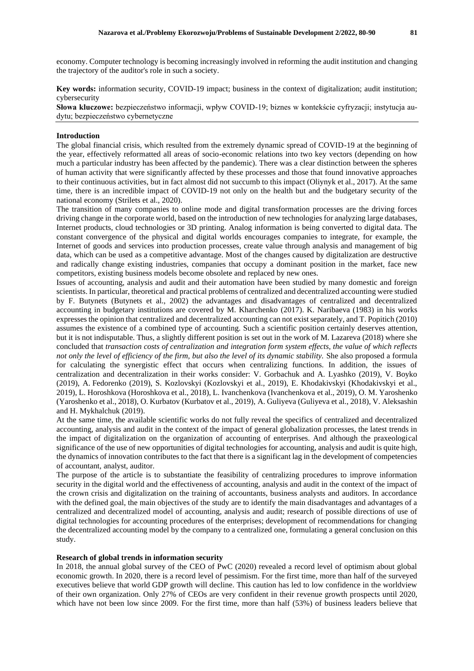economy. Computer technology is becoming increasingly involved in reforming the audit institution and changing the trajectory of the auditor's role in such a society.

**Key words:** information security, COVID-19 impact; business in the context of digitalization; audit institution; cybersecurity

**Słowa kluczowe:** bezpieczeństwo informacji, wpływ COVID-19; biznes w kontekście cyfryzacji; instytucja audytu; bezpieczeństwo cybernetyczne

#### **Introduction**

The global financial crisis, which resulted from the extremely dynamic spread of COVID-19 at the beginning of the year, effectively reformatted all areas of socio-economic relations into two key vectors (depending on how much a particular industry has been affected by the pandemic). There was a clear distinction between the spheres of human activity that were significantly affected by these processes and those that found innovative approaches to their continuous activities, but in fact almost did not succumb to this impact (Oliynyk et al., 2017). At the same time, there is an incredible impact of COVID-19 not only on the health but and the budgetary security of the national economy (Strilets et al., 2020).

The transition of many companies to online mode and digital transformation processes are the driving forces driving change in the corporate world, based on the introduction of new technologies for analyzing large databases, Internet products, cloud technologies or 3D printing. Analog information is being converted to digital data. The constant convergence of the physical and digital worlds encourages companies to integrate, for example, the Internet of goods and services into production processes, create value through analysis and management of big data, which can be used as a competitive advantage. Most of the changes caused by digitalization are destructive and radically change existing industries, companies that occupy a dominant position in the market, face new competitors, existing business models become obsolete and replaced by new ones.

Issues of accounting, analysis and audit and their automation have been studied by many domestic and foreign scientists. In particular, theoretical and practical problems of centralized and decentralized accounting were studied by F. Butynets (Butynets et al., 2002) the advantages and disadvantages of centralized and decentralized accounting in budgetary institutions are covered by M. Kharchenko (2017). K. Naribaeva (1983) in his works expresses the opinion that centralized and decentralized accounting can not exist separately, and T. Popitich (2010) assumes the existence of a combined type of accounting. Such a scientific position certainly deserves attention, but it is not indisputable. Thus, a slightly different position is set out in the work of M. Lazareva (2018) where she concluded that *transaction costs of centralization and integration form system effects, the value of which reflects not only the level of efficiency of the firm, but also the level of its dynamic stability.* She also proposed a formula for calculating the synergistic effect that occurs when centralizing functions. In addition, the issues of centralization and decentralization in their works consider: V. Gorbachuk and A. Lyashko (2019), V. Boyko (2019), A. Fedorenko (2019), S. Kozlovskyi (Kozlovskyi et al., 2019), E. Khodakivskyi (Khodakivskyi et al., 2019), L. Horoshkova (Horoshkova et al., 2018), L. Ivanchenkova (Ivanchenkova et al., 2019), O. M. Yaroshenko (Yaroshenko et al., 2018), O. Kurbatov (Kurbatov et al., 2019), A. Guliyeva (Guliyeva et al., 2018), V. Aleksashin and H. Mykhalchuk (2019).

At the same time, the available scientific works do not fully reveal the specifics of centralized and decentralized accounting, analysis and audit in the context of the impact of general globalization processes, the latest trends in the impact of digitalization on the organization of accounting of enterprises. And although the praxeological significance of the use of new opportunities of digital technologies for accounting, analysis and audit is quite high, the dynamics of innovation contributes to the fact that there is a significant lag in the development of competencies of accountant, analyst, auditor.

The purpose of the article is to substantiate the feasibility of centralizing procedures to improve information security in the digital world and the effectiveness of accounting, analysis and audit in the context of the impact of the crown crisis and digitalization on the training of accountants, business analysts and auditors. In accordance with the defined goal, the main objectives of the study are to identify the main disadvantages and advantages of a centralized and decentralized model of accounting, analysis and audit; research of possible directions of use of digital technologies for accounting procedures of the enterprises; development of recommendations for changing the decentralized accounting model by the company to a centralized one, formulating a general conclusion on this study.

#### **Research of global trends in information security**

In 2018, the annual global survey of the CEO of PwC (2020) revealed a record level of optimism about global economic growth. In 2020, there is a record level of pessimism. For the first time, more than half of the surveyed executives believe that world GDP growth will decline. This caution has led to low confidence in the worldview of their own organization. Only 27% of CEOs are very confident in their revenue growth prospects until 2020, which have not been low since 2009. For the first time, more than half (53%) of business leaders believe that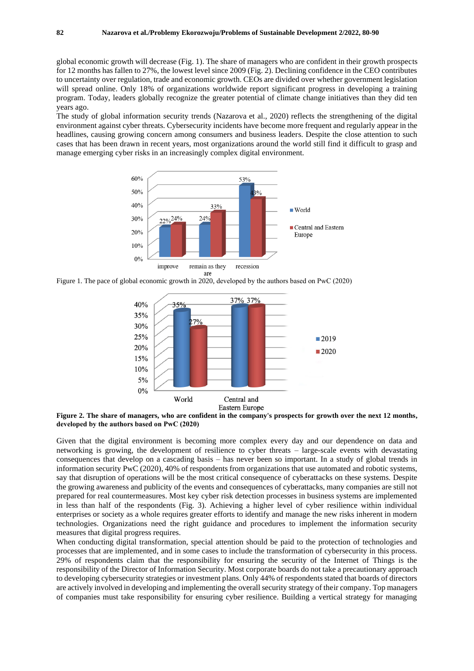global economic growth will decrease (Fig. 1). The share of managers who are confident in their growth prospects for 12 months has fallen to 27%, the lowest level since 2009 (Fig. 2). Declining confidence in the CEO contributes to uncertainty over regulation, trade and economic growth. CEOs are divided over whether government legislation will spread online. Only 18% of organizations worldwide report significant progress in developing a training program. Today, leaders globally recognize the greater potential of climate change initiatives than they did ten years ago.

The study of global information security trends (Nazarova et al., 2020) reflects the strengthening of the digital environment against cyber threats. Cybersecurity incidents have become more frequent and regularly appear in the headlines, causing growing concern among consumers and business leaders. Despite the close attention to such cases that has been drawn in recent years, most organizations around the world still find it difficult to grasp and manage emerging cyber risks in an increasingly complex digital environment.



Figure 1. The pace of global economic growth in 2020, developed by the authors based on PwС (2020)



**Figure 2. The share of managers, who are confident in the company's prospects for growth over the next 12 months, developed by the authors based on PwС (2020)**

Given that the digital environment is becoming more complex every day and our dependence on data and networking is growing, the development of resilience to cyber threats – large-scale events with devastating consequences that develop on a cascading basis – has never been so important. In a study of global trends in information security PwC (2020), 40% of respondents from organizations that use automated and robotic systems, say that disruption of operations will be the most critical consequence of cyberattacks on these systems. Despite the growing awareness and publicity of the events and consequences of cyberattacks, many companies are still not prepared for real countermeasures. Most key cyber risk detection processes in business systems are implemented in less than half of the respondents (Fig. 3). Achieving a higher level of cyber resilience within individual enterprises or society as a whole requires greater efforts to identify and manage the new risks inherent in modern technologies. Organizations need the right guidance and procedures to implement the information security measures that digital progress requires.

When conducting digital transformation, special attention should be paid to the protection of technologies and processes that are implemented, and in some cases to include the transformation of cybersecurity in this process. 29% of respondents claim that the responsibility for ensuring the security of the Internet of Things is the responsibility of the Director of Information Security. Most corporate boards do not take a precautionary approach to developing cybersecurity strategies or investment plans. Only 44% of respondents stated that boards of directors are actively involved in developing and implementing the overall security strategy of their company. Top managers of companies must take responsibility for ensuring cyber resilience. Building a vertical strategy for managing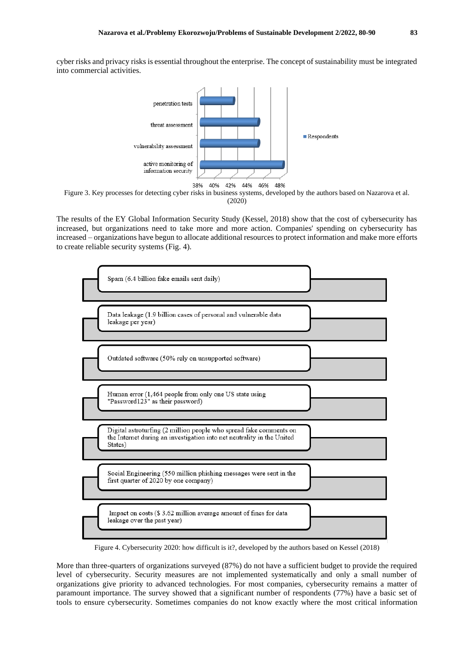cyber risks and privacy risks is essential throughout the enterprise. The concept of sustainability must be integrated into commercial activities.





The results of the EY Global Information Security Study (Kessel, 2018) show that the cost of cybersecurity has increased, but organizations need to take more and more action. Companies' spending on cybersecurity has increased – organizations have begun to allocate additional resources to protect information and make more efforts to create reliable security systems (Fig. 4).



Figure 4. Cybersecurity 2020: how difficult is it?, developed by the authors based on Kessel (2018)

More than three-quarters of organizations surveyed (87%) do not have a sufficient budget to provide the required level of cybersecurity. Security measures are not implemented systematically and only a small number of organizations give priority to advanced technologies. For most companies, cybersecurity remains a matter of paramount importance. The survey showed that a significant number of respondents (77%) have a basic set of tools to ensure cybersecurity. Sometimes companies do not know exactly where the most critical information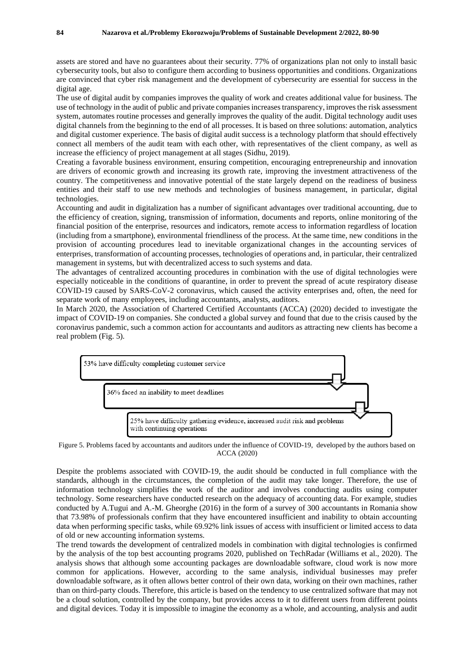assets are stored and have no guarantees about their security. 77% of organizations plan not only to install basic cybersecurity tools, but also to configure them according to business opportunities and conditions. Organizations are convinced that cyber risk management and the development of cybersecurity are essential for success in the digital age.

The use of digital audit by companies improves the quality of work and creates additional value for business. The use of technology in the audit of public and private companies increases transparency, improves the risk assessment system, automates routine processes and generally improves the quality of the audit. Digital technology audit uses digital channels from the beginning to the end of all processes. It is based on three solutions: automation, analytics and digital customer experience. The basis of digital audit success is a technology platform that should effectively connect all members of the audit team with each other, with representatives of the client company, as well as increase the efficiency of project management at all stages (Sidhu, 2019).

Creating a favorable business environment, ensuring competition, encouraging entrepreneurship and innovation are drivers of economic growth and increasing its growth rate, improving the investment attractiveness of the country. The competitiveness and innovative potential of the state largely depend on the readiness of business entities and their staff to use new methods and technologies of business management, in particular, digital technologies.

Accounting and audit in digitalization has a number of significant advantages over traditional accounting, due to the efficiency of creation, signing, transmission of information, documents and reports, online monitoring of the financial position of the enterprise, resources and indicators, remote access to information regardless of location (including from a smartphone), environmental friendliness of the process. At the same time, new conditions in the provision of accounting procedures lead to inevitable organizational changes in the accounting services of enterprises, transformation of accounting processes, technologies of operations and, in particular, their centralized management in systems, but with decentralized access to such systems and data.

The advantages of centralized accounting procedures in combination with the use of digital technologies were especially noticeable in the conditions of quarantine, in order to prevent the spread of acute respiratory disease COVID-19 caused by SARS-CoV-2 coronavirus, which caused the activity enterprises and, often, the need for separate work of many employees, including accountants, analysts, auditors.

In March 2020, the Association of Chartered Certified Accountants (ACCA) (2020) decided to investigate the impact of COVID-19 on companies. She conducted a global survey and found that due to the crisis caused by the coronavirus pandemic, such a common action for accountants and auditors as attracting new clients has become a real problem (Fig. 5).



Figure 5. Problems faced by accountants and auditors under the influence of COVID-19, developed by the authors based on ACCA (2020)

Despite the problems associated with COVID-19, the audit should be conducted in full compliance with the standards, although in the circumstances, the completion of the audit may take longer. Therefore, the use of information technology simplifies the work of the auditor and involves conducting audits using computer technology. Some researchers have conducted research on the adequacy of accounting data. For example, studies conducted by A.Tugui and A.-M. Gheorghe (2016) in the form of a survey of 300 accountants in Romania show that 73.98% of professionals confirm that they have encountered insufficient and inability to obtain accounting data when performing specific tasks, while 69.92% link issues of access with insufficient or limited access to data of old or new accounting information systems.

The trend towards the development of centralized models in combination with digital technologies is confirmed by the analysis of the top best accounting programs 2020, published on TechRadar (Williams et al., 2020). The analysis shows that although some accounting packages are downloadable software, cloud work is now more common for applications. However, according to the same analysis, individual businesses may prefer downloadable software, as it often allows better control of their own data, working on their own machines, rather than on third-party clouds. Therefore, this article is based on the tendency to use centralized software that may not be a cloud solution, controlled by the company, but provides access to it to different users from different points and digital devices. Today it is impossible to imagine the economy as a whole, and accounting, analysis and audit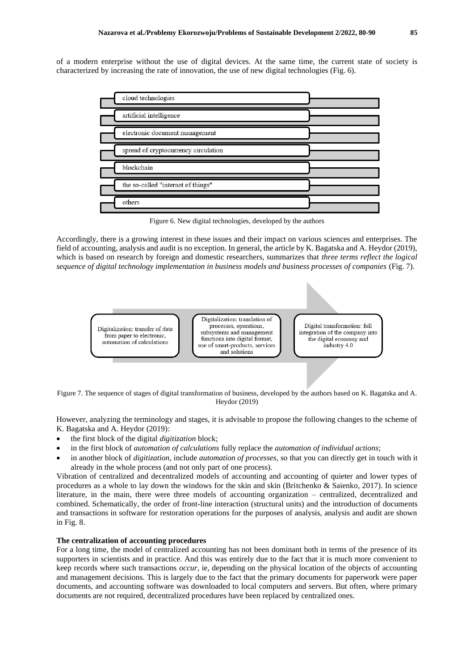of a modern enterprise without the use of digital devices. At the same time, the current state of society is characterized by increasing the rate of innovation, the use of new digital technologies (Fig. 6).

| cloud technologies                   |  |
|--------------------------------------|--|
| artificial intelligence              |  |
| electronic document management       |  |
| spread of cryptocurrency circulation |  |
| blockchain                           |  |
| the so-called "internet of things"   |  |
| others                               |  |

Figure 6. New digital technologies, developed by the authors

Accordingly, there is a growing interest in these issues and their impact on various sciences and enterprises. The field of accounting, analysis and audit is no exception. In general, the article by K. Bagatska and A. Heydor (2019), which is based on research by foreign and domestic researchers, summarizes that *three terms reflect the logical sequence of digital technology implementation in business models and business processes of companies* (Fig. 7).

> Digitalization: transfer of data from paper to electronic, automation of calculations

Digitalization: translation of processes, operations, subsystems and management functions into digital format. use of smart-products, services and solutions

Digital transformation: full integration of the company into the digital economy and industry 4.0

Figure 7. The sequence of stages of digital transformation of business, developed by the authors based on K. Bagatska and A. Heydor (2019)

However, analyzing the terminology and stages, it is advisable to propose the following changes to the scheme of K. Bagatska and A. Heydor (2019):

- the first block of the digital *digitization* block;
- in the first block of *automation of calculations* fully replace the *automation of individual actions*;
- in another block of *digitization*, include *automation of processes*, so that you can directly get in touch with it already in the whole process (and not only part of one process).

Vibration of centralized and decentralized models of accounting and accounting of quieter and lower types of procedures as a whole to lay down the windows for the skin and skin (Britchenko & Saienko, 2017). In science literature, in the main, there were three models of accounting organization – centralized, decentralized and combined. Schematically, the order of front-line interaction (structural units) and the introduction of documents and transactions in software for restoration operations for the purposes of analysis, analysis and audit are shown in Fig. 8.

#### **The centralization of accounting procedures**

For a long time, the model of centralized accounting has not been dominant both in terms of the presence of its supporters in scientists and in practice. And this was entirely due to the fact that it is much more convenient to keep records where such transactions *occur*, ie, depending on the physical location of the objects of accounting and management decisions. This is largely due to the fact that the primary documents for paperwork were paper documents, and accounting software was downloaded to local computers and servers. But often, where primary documents are not required, decentralized procedures have been replaced by centralized ones.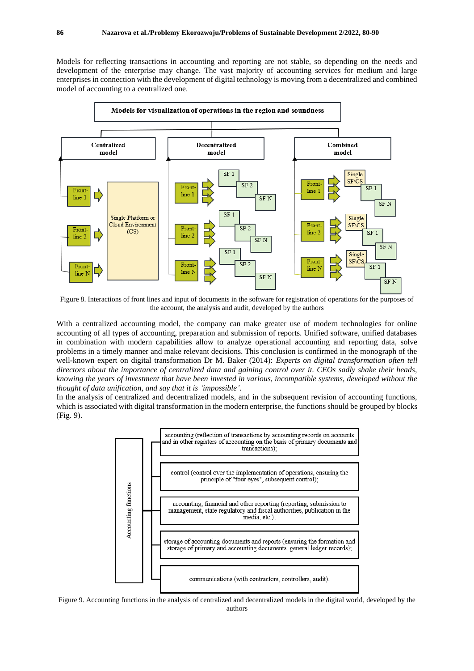Models for reflecting transactions in accounting and reporting are not stable, so depending on the needs and development of the enterprise may change. The vast majority of accounting services for medium and large enterprises in connection with the development of digital technology is moving from a decentralized and combined model of accounting to a centralized one.



Figure 8. Interactions of front lines and input of documents in the software for registration of operations for the purposes of the account, the analysis and audit, developed by the authors

With a centralized accounting model, the company can make greater use of modern technologies for online accounting of all types of accounting, preparation and submission of reports. Unified software, unified databases in combination with modern capabilities allow to analyze operational accounting and reporting data, solve problems in a timely manner and make relevant decisions. This conclusion is confirmed in the monograph of the well-known expert on digital transformation Dr M. Baker (2014): *Experts on digital transformation often tell directors about the importance of centralized data and gaining control over it. CEOs sadly shake their heads, knowing the years of investment that have been invested in various, incompatible systems, developed without the thought of data unification, and say that it is 'impossible'*.

In the analysis of centralized and decentralized models, and in the subsequent revision of accounting functions, which is associated with digital transformation in the modern enterprise, the functions should be grouped by blocks (Fig. 9).



Figure 9. Accounting functions in the analysis of centralized and decentralized models in the digital world, developed by the authors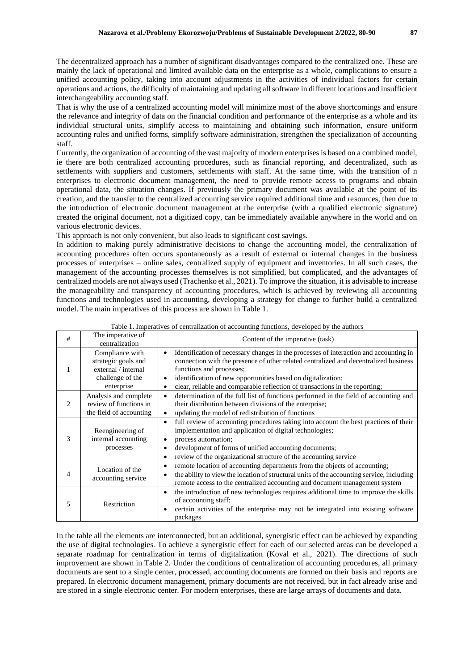The decentralized approach has a number of significant disadvantages compared to the centralized one. These are mainly the lack of operational and limited available data on the enterprise as a whole, complications to ensure a unified accounting policy, taking into account adjustments in the activities of individual factors for certain operations and actions, the difficulty of maintaining and updating all software in different locations and insufficient interchangeability accounting staff.

That is why the use of a centralized accounting model will minimize most of the above shortcomings and ensure the relevance and integrity of data on the financial condition and performance of the enterprise as a whole and its individual structural units, simplify access to maintaining and obtaining such information, ensure uniform accounting rules and unified forms, simplify software administration, strengthen the specialization of accounting staff.

Currently, the organization of accounting of the vast majority of modern enterprises is based on a combined model, ie there are both centralized accounting procedures, such as financial reporting, and decentralized, such as settlements with suppliers and customers, settlements with staff. At the same time, with the transition of n enterprises to electronic document management, the need to provide remote access to programs and obtain operational data, the situation changes. If previously the primary document was available at the point of its creation, and the transfer to the centralized accounting service required additional time and resources, then due to the introduction of electronic document management at the enterprise (with a qualified electronic signature) created the original document, not a digitized copy, can be immediately available anywhere in the world and on various electronic devices.

This approach is not only convenient, but also leads to significant cost savings.

In addition to making purely administrative decisions to change the accounting model, the centralization of accounting procedures often occurs spontaneously as a result of external or internal changes in the business processes of enterprises – online sales, centralized supply of equipment and inventories. In all such cases, the management of the accounting processes themselves is not simplified, but complicated, and the advantages of centralized models are not always used (Trachenko et al., 2021). To improve the situation, it is advisable to increase the manageability and transparency of accounting procedures, which is achieved by reviewing all accounting functions and technologies used in accounting, developing a strategy for change to further build a centralized model. The main imperatives of this process are shown in Table 1.

| # | The imperative of<br>centralization                                                             | Content of the imperative (task)                                                                                                                                                                                                                                                                                                                                                        |
|---|-------------------------------------------------------------------------------------------------|-----------------------------------------------------------------------------------------------------------------------------------------------------------------------------------------------------------------------------------------------------------------------------------------------------------------------------------------------------------------------------------------|
| 1 | Compliance with<br>strategic goals and<br>external / internal<br>challenge of the<br>enterprise | identification of necessary changes in the processes of interaction and accounting in<br>$\bullet$<br>connection with the presence of other related centralized and decentralized business<br>functions and processes;<br>identification of new opportunities based on digitalization;<br>٠<br>clear, reliable and comparable reflection of transactions in the reporting;<br>$\bullet$ |
| 2 | Analysis and complete<br>review of functions in<br>the field of accounting                      | determination of the full list of functions performed in the field of accounting and<br>$\bullet$<br>their distribution between divisions of the enterprise;<br>updating the model of redistribution of functions<br>$\bullet$                                                                                                                                                          |
| 3 | Reengineering of<br>internal accounting<br>processes                                            | full review of accounting procedures taking into account the best practices of their<br>$\bullet$<br>implementation and application of digital technologies;<br>process automation;<br>$\bullet$<br>development of forms of unified accounting documents;<br>٠<br>review of the organizational structure of the accounting service<br>٠                                                 |
| 4 | Location of the<br>accounting service                                                           | remote location of accounting departments from the objects of accounting;<br>٠<br>the ability to view the location of structural units of the accounting service, including<br>٠<br>remote access to the centralized accounting and document management system                                                                                                                          |
| 5 | Restriction                                                                                     | the introduction of new technologies requires additional time to improve the skills<br>$\bullet$<br>of accounting staff;<br>certain activities of the enterprise may not be integrated into existing software<br>٠<br>packages                                                                                                                                                          |

Table 1. Imperatives of centralization of accounting functions, developed by the authors

In the table all the elements are interconnected, but an additional, synergistic effect can be achieved by expanding the use of digital technologies. To achieve a synergistic effect for each of our selected areas can be developed a separate roadmap for centralization in terms of digitalization (Koval et al., 2021). The directions of such improvement are shown in Table 2. Under the conditions of centralization of accounting procedures, all primary documents are sent to a single center, processed, accounting documents are formed on their basis and reports are prepared. In electronic document management, primary documents are not received, but in fact already arise and are stored in a single electronic center. For modern enterprises, these are large arrays of documents and data.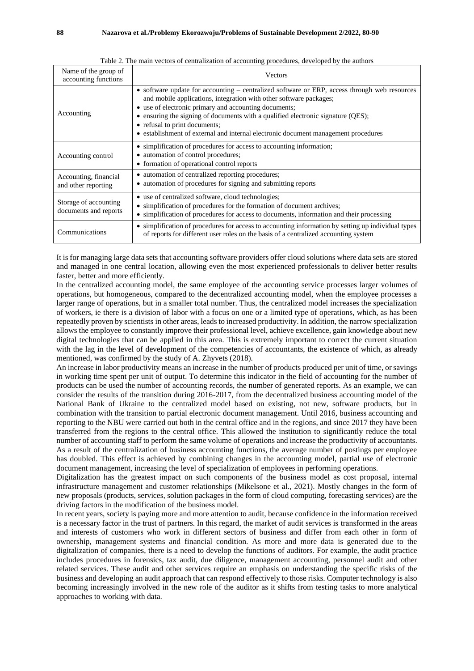| Name of the group of<br>accounting functions   | <b>Vectors</b>                                                                                                                                                                                                                                                                                                                                                                                                                         |
|------------------------------------------------|----------------------------------------------------------------------------------------------------------------------------------------------------------------------------------------------------------------------------------------------------------------------------------------------------------------------------------------------------------------------------------------------------------------------------------------|
| Accounting                                     | • software update for accounting – centralized software or ERP, access through web resources<br>and mobile applications, integration with other software packages;<br>• use of electronic primary and accounting documents;<br>• ensuring the signing of documents with a qualified electronic signature (QES);<br>• refusal to print documents;<br>• establishment of external and internal electronic document management procedures |
| Accounting control                             | • simplification of procedures for access to accounting information;<br>• automation of control procedures;<br>• formation of operational control reports                                                                                                                                                                                                                                                                              |
| Accounting, financial<br>and other reporting   | • automation of centralized reporting procedures;<br>• automation of procedures for signing and submitting reports                                                                                                                                                                                                                                                                                                                     |
| Storage of accounting<br>documents and reports | • use of centralized software, cloud technologies;<br>• simplification of procedures for the formation of document archives;<br>• simplification of procedures for access to documents, information and their processing                                                                                                                                                                                                               |
| Communications                                 | • simplification of procedures for access to accounting information by setting up individual types<br>of reports for different user roles on the basis of a centralized accounting system                                                                                                                                                                                                                                              |

It is for managing large data sets that accounting software providers offer cloud solutions where data sets are stored and managed in one central location, allowing even the most experienced professionals to deliver better results faster, better and more efficiently.

In the centralized accounting model, the same employee of the accounting service processes larger volumes of operations, but homogeneous, compared to the decentralized accounting model, when the employee processes a larger range of operations, but in a smaller total number. Thus, the centralized model increases the specialization of workers, ie there is a division of labor with a focus on one or a limited type of operations, which, as has been repeatedly proven by scientists in other areas, leads to increased productivity. In addition, the narrow specialization allows the employee to constantly improve their professional level, achieve excellence, gain knowledge about new digital technologies that can be applied in this area. This is extremely important to correct the current situation with the lag in the level of development of the competencies of accountants, the existence of which, as already mentioned, was confirmed by the study of A. Zhyvets (2018).

An increase in labor productivity means an increase in the number of products produced per unit of time, or savings in working time spent per unit of output. To determine this indicator in the field of accounting for the number of products can be used the number of accounting records, the number of generated reports. As an example, we can consider the results of the transition during 2016-2017, from the decentralized business accounting model of the National Bank of Ukraine to the centralized model based on existing, not new, software products, but in combination with the transition to partial electronic document management. Until 2016, business accounting and reporting to the NBU were carried out both in the central office and in the regions, and since 2017 they have been transferred from the regions to the central office. This allowed the institution to significantly reduce the total number of accounting staff to perform the same volume of operations and increase the productivity of accountants. As a result of the centralization of business accounting functions, the average number of postings per employee has doubled. This effect is achieved by combining changes in the accounting model, partial use of electronic document management, increasing the level of specialization of employees in performing operations.

Digitalization has the greatest impact on such components of the business model as cost proposal, internal infrastructure management and customer relationships (Mikelsone et al., 2021). Mostly changes in the form of new proposals (products, services, solution packages in the form of cloud computing, forecasting services) are the driving factors in the modification of the business model.

In recent years, society is paying more and more attention to audit, because confidence in the information received is a necessary factor in the trust of partners. In this regard, the market of audit services is transformed in the areas and interests of customers who work in different sectors of business and differ from each other in form of ownership, management systems and financial condition. As more and more data is generated due to the digitalization of companies, there is a need to develop the functions of auditors. For example, the audit practice includes procedures in forensics, tax audit, due diligence, management accounting, personnel audit and other related services. These audit and other services require an emphasis on understanding the specific risks of the business and developing an audit approach that can respond effectively to those risks. Computer technology is also becoming increasingly involved in the new role of the auditor as it shifts from testing tasks to more analytical approaches to working with data.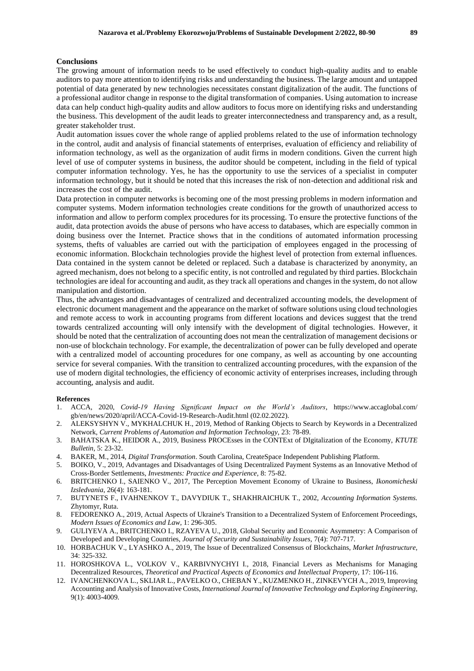The growing amount of information needs to be used effectively to conduct high-quality audits and to enable auditors to pay more attention to identifying risks and understanding the business. The large amount and untapped potential of data generated by new technologies necessitates constant digitalization of the audit. The functions of a professional auditor change in response to the digital transformation of companies. Using automation to increase data can help conduct high-quality audits and allow auditors to focus more on identifying risks and understanding the business. This development of the audit leads to greater interconnectedness and transparency and, as a result, greater stakeholder trust.

Audit automation issues cover the whole range of applied problems related to the use of information technology in the control, audit and analysis of financial statements of enterprises, evaluation of efficiency and reliability of information technology, as well as the organization of audit firms in modern conditions. Given the current high level of use of computer systems in business, the auditor should be competent, including in the field of typical computer information technology. Yes, he has the opportunity to use the services of a specialist in computer information technology, but it should be noted that this increases the risk of non-detection and additional risk and increases the cost of the audit.

Data protection in computer networks is becoming one of the most pressing problems in modern information and computer systems. Modern information technologies create conditions for the growth of unauthorized access to information and allow to perform complex procedures for its processing. To ensure the protective functions of the audit, data protection avoids the abuse of persons who have access to databases, which are especially common in doing business over the Internet. Practice shows that in the conditions of automated information processing systems, thefts of valuables are carried out with the participation of employees engaged in the processing of economic information. Blockchain technologies provide the highest level of protection from external influences. Data contained in the system cannot be deleted or replaced. Such a database is characterized by anonymity, an agreed mechanism, does not belong to a specific entity, is not controlled and regulated by third parties. Blockchain technologies are ideal for accounting and audit, as they track all operations and changes in the system, do not allow manipulation and distortion.

Thus, the advantages and disadvantages of centralized and decentralized accounting models, the development of electronic document management and the appearance on the market of software solutions using cloud technologies and remote access to work in accounting programs from different locations and devices suggest that the trend towards centralized accounting will only intensify with the development of digital technologies. However, it should be noted that the centralization of accounting does not mean the centralization of management decisions or non-use of blockchain technology. For example, the decentralization of power can be fully developed and operate with a centralized model of accounting procedures for one company, as well as accounting by one accounting service for several companies. With the transition to centralized accounting procedures, with the expansion of the use of modern digital technologies, the efficiency of economic activity of enterprises increases, including through accounting, analysis and audit.

#### **References**

- 1. ACCA, 2020, *Covid-19 Having Significant Impact on the World's Auditors*, https://www.accaglobal.com/ gb/en/news/2020/april/ACCA-Covid-19-Research-Audit.html (02.02.2022).
- 2. ALEKSYSHYN V., MYKHALCHUK H., 2019, Method of Ranking Objects to Search by Keywords in a Decentralized Network, *Current Problems of Automation and Information Technology,* 23: 78-89.
- 3. BAHATSKA K., HEIDOR A., 2019, Business PROCEsses in the CONTExt of DIgitalization of the Economy, *KTUTE Bulletin,* 5: 23-32.
- 4. BAKER, M., 2014, *Digital Transformation*. South Carolina, CreateSpace Independent Publishing Platform.
- 5. BOIKO, V., 2019, Advantages and Disadvantages of Using Decentralized Payment Systems as an Innovative Method of Cross-Border Settlements, *Investments: Practice and Experience,* 8: 75-82.
- 6. BRITCHENKO I., SAIENKO V., 2017, The Perception Movement Economy of Ukraine to Business, *Ikonomicheski Izsledvania*, 26(4): 163-181.
- 7. BUTYNETS F., IVAHNENKOV T., DAVYDIUK T., SHAKHRAICHUK T., 2002, *Accounting Information Systems.*  Zhytomyr, Ruta.
- 8. FEDORENKO A., 2019, Actual Aspects of Ukraine's Transition to a Decentralized System of Enforcement Proceedings, *Modern Issues of Economics and Law,* 1: 296-305.
- 9. GULIYEVA A., BRITCHENKO I., RZAYEVA U., 2018, Global Security and Economic Asymmetry: A Comparison of Developed and Developing Countries, *Journal of Security and Sustainability Issues,* 7(4): 707-717.
- 10. HORBACHUK V., LYASHKO A., 2019, The Issue of Decentralized Consensus of Blockchains, *Market Infrastructure,*  34: 325-332.
- 11. HOROSHKOVA L., VOLKOV V., KARBIVNYCHYI I., 2018, Financial Levers as Mechanisms for Managing Decentralized Resources, *Theoretical and Practical Aspects of Economics and Intellectual Property,* 17: 106-116.
- 12. IVANCHENKOVA L., SKLIAR L., PAVELKO O., CHEBAN Y., KUZMENKO H., ZINKEVYCH A., 2019, Improving Accounting and Analysis of Innovative Costs, *International Journal of Innovative Technology and Exploring Engineering*, 9(1): 4003-4009.